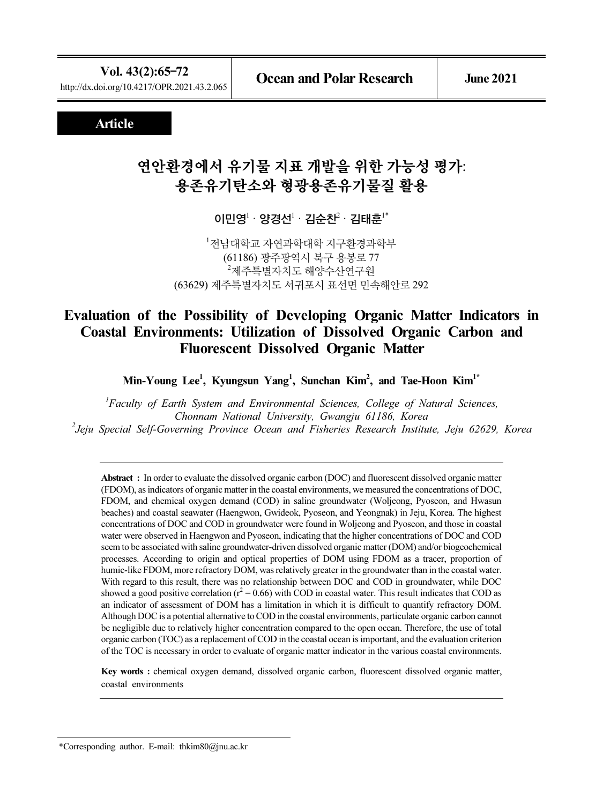## Article

# 연안환경에서 유기물 지표 개발을 위한 가능성 평가: <del>용존유</del>기탄소와 형광용존유기물질 활용<br>이민영<sup>: .</sup> 양경선<sup>: .</sup> 김순찬<sup>:</sup> 김태훈<sup>:</sup>\*

1 전남대학교 자연과학대학 지구환경과학부 (61186) 광주광역시 북구 용봉로 77  $^{2}$ 제주특별자치도 해양수산연구원 (63629) 제주특별자치도 서귀포시 표선면 민속해안로 292

## Evaluation of the Possibility of Developing Organic Matter Indicators in Coastal Environments: Utilization of Dissolved Organic Carbon and Fluorescent Dissolved Organic Matter

Min-Young Lee<sup>1</sup>, Kyungsun Yang<sup>1</sup>, Sunchan Kim<sup>2</sup>, and Tae-Hoon Kim<sup>1\*</sup>

<sup>1</sup>Faculty of Earth System and Environmental Sciences, College of Natural Sciences, Chonnam National University, Gwangju 61186, Korea 2 Jeju Special Self-Governing Province Ocean and Fisheries Research Institute, Jeju 62629, Korea

Abstract : In order to evaluate the dissolved organic carbon (DOC) and fluorescent dissolved organic matter (FDOM), as indicators of organic matter in the coastal environments, we measured the concentrations of DOC, FDOM, and chemical oxygen demand (COD) in saline groundwater (Woljeong, Pyoseon, and Hwasun beaches) and coastal seawater (Haengwon, Gwideok, Pyoseon, and Yeongnak) in Jeju, Korea. The highest concentrations of DOC and COD in groundwater were found in Woljeong and Pyoseon, and those in coastal water were observed in Haengwon and Pyoseon, indicating that the higher concentrations of DOC and COD seem to be associated with saline groundwater-driven dissolved organic matter (DOM) and/or biogeochemical processes. According to origin and optical properties of DOM using FDOM as a tracer, proportion of humic-like FDOM, more refractory DOM, was relatively greater in the groundwater than in the coastal water. With regard to this result, there was no relationship between DOC and COD in groundwater, while DOC showed a good positive correlation ( $r^2 = 0.66$ ) with COD in coastal water. This result indicates that COD as an indicator of assessment of DOM has a limitation in which it is difficult to quantify refractory DOM. Although DOC is a potential alternative to COD in the coastal environments, particulate organic carbon cannot be negligible due to relatively higher concentration compared to the open ocean. Therefore, the use of total organic carbon (TOC) as a replacement of COD in the coastal ocean is important, and the evaluation criterion of the TOC is necessary in order to evaluate of organic matter indicator in the various coastal environments.

Key words : chemical oxygen demand, dissolved organic carbon, fluorescent dissolved organic matter, coastal environments

<sup>\*</sup>Corresponding author. E-mail: thkim80@jnu.ac.kr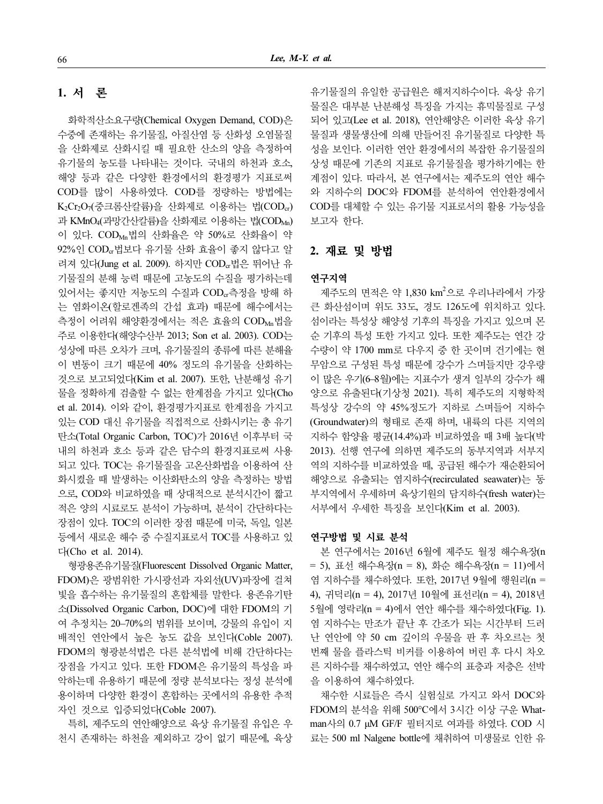## 1. 서 론

화학적산소요구량(Chemical Oxygen Demand, COD)은 수중에 존재하는 유기물질, 아질산염 등 산화성 오염물질 을 산화제로 산화시킬 때 필요한 산소의 양을 측정하여 유기물의 농도를 나타내는 것이다. 국내의 하천과 호소, 해양 등과 같은 다양한 환경에서의 환경평가 지표로써 COD를 많이 사용하였다. COD를 정량하는 방법에는 K<sub>2</sub>Cr<sub>2</sub>O<sub>7</sub>(중크롬산칼륨)을 산화제로 이용하는 법(COD<sub>cr</sub>) 과 KMnO<sub>4</sub>(과망간산칼륨)을 산화제로 이용하는 법(COD<sub>Mn</sub>) 이 있다. COD<sub>Mn</sub>법의 산화율은 약 50%로 산화율이 약 92%인 CODcr법보다 유기물 산화 효율이 좋지 않다고 알 려져 있다(Jung et al. 2009). 하지만 COD<sub>a</sub>법은 뛰어난 유 기물질의 분해 능력 때문에 고농도의 수질을 평가하는데 있어서는 좋지만 저농도의 수질과 COD<sub>cr</sub>측정을 방해 하 는 염화이온(할로겐족의 간섭 효과) 때문에 해수에서는 측정이 어려워 해양환경에서는 적은 효율의 COD<sub>Mn</sub>법을 주로 이용한다(해양수산부 2013; Son et al. 2003). COD는 성상에 따른 오차가 크며, 유기물질의 종류에 따른 분해율 이 변동이 크기 때문에 40% 정도의 유기물을 산화하는 것으로 보고되었다(Kim et al. 2007). 또한, 난분해성 유기 물을 정확하게 검출할 수 없는 한계점을 가지고 있다(Cho et al. 2014). 이와 같이, 환경평가지표로 한계점을 가지고 있는 COD 대신 유기물을 직접적으로 산화시키는 총 유기 탄소(Total Organic Carbon, TOC)가 2016년 이후부터 국 내의 하천과 호소 등과 같은 담수의 환경지표로써 사용 되고 있다. TOC는 유기물질을 고온산화법을 이용하여 산 화시켰을 때 발생하는 이산화탄소의 양을 측정하는 방법 으로, COD와 비교하였을 때 상대적으로 분석시간이 짧고 적은 양의 시료로도 분석이 가능하며, 분석이 간단하다는 장점이 있다. TOC의 이러한 장점 때문에 미국, 독일, 일본 등에서 새로운 해수 중 수질지표로서 TOC를 사용하고 있 다(Cho et al. 2014).

형광용존유기물질(Fluorescent Dissolved Organic Matter, FDOM)은 광범위한 가시광선과 자외선(UV)파장에 걸쳐 빛을 흡수하는 유기물질의 혼합체를 말한다. 용존유기탄 소(Dissolved Organic Carbon, DOC)에 대한 FDOM의 기 여 추정치는 20–70%의 범위를 보이며, 강물의 유입이 지 배적인 연안에서 높은 농도 값을 보인다(Coble 2007). FDOM의 형광분석법은 다른 분석법에 비해 간단하다는 장점을 가지고 있다. 또한 FDOM은 유기물의 특성을 파 악하는데 유용하기 때문에 정량 분석보다는 정성 분석에 용이하며 다양한 환경이 혼합하는 곳에서의 유용한 추적 자인 것으로 입증되었다(Coble 2007).

특히, 제주도의 연안해양으로 육상 유기물질 유입은 우 천시 존재하는 하천을 제외하고 강이 없기 때문에, 육상 유기물질의 유일한 공급원은 해저지하수이다. 육상 유기 물질은 대부분 난분해성 특징을 가지는 휴믹물질로 구성 되어 있고(Lee et al. 2018), 연안해양은 이러한 육상 유기 물질과 생물생산에 의해 만들어진 유기물질로 다양한 특 성을 보인다. 이러한 연안 환경에서의 복잡한 유기물질의 상성 때문에 기존의 지표로 유기물질을 평가하기에는 한 계점이 있다. 따라서, 본 연구에서는 제주도의 연안 해수 와 지하수의 DOC와 FDOM를 분석하여 연안환경에서 COD를 대체할 수 있는 유기물 지표로서의 활용 가능성을 보고자 한다.

## 2. 재료 및 방법

#### 연구지역

제주도의 면적은 약 1,830 km<sup>2</sup>으로 우리나라에서 가장 큰 화산섬이며 위도 33도, 경도 126도에 위치하고 있다. 섬이라는 특성상 해양성 기후의 특징을 가지고 있으며 몬 순 기후의 특성 또한 가지고 있다. 또한 제주도는 연간 강 수량이 약 1700 mm로 다우지 중 한 곳이며 건기에는 현 무암으로 구성된 특성 때문에 강수가 스며들지만 강우량 이 많은 우기(6–8월)에는 지표수가 생겨 일부의 강수가 해 양으로 유출된다(기상청 2021). 특히 제주도의 지형학적 특성상 강수의 약 45%정도가 지하로 스며들어 지하수 (Groundwater)의 형태로 존재 하며, 내륙의 다른 지역의 지하수 함양율 평균(14.4%)과 비교하였을 때 3배 높다(박 2013). 선행 연구에 의하면 제주도의 동부지역과 서부지 역의 지하수를 비교하였을 때, 공급된 해수가 재순환되어 해양으로 유출되는 염지하수(recirculated seawater)는 동 부지역에서 우세하며 육상기원의 담지하수(fresh water)는 서부에서 우세한 특징을 보인다(Kim et al. 2003).

#### 연구방법 및 시료 분석

본 연구에서는 2016년 6월에 제주도 월정 해수욕장(n = 5), 표선 해수욕장(n = 8), 화순 해수욕장(n = 11)에서 염 지하수를 채수하였다. 또한, 2017년 9월에 행원리(n = 4), 귀덕리(n = 4), 2017년 10월에 표선리(n = 4), 2018년 5월에 영락리(n = 4)에서 연안 해수를 채수하였다(Fig. 1). 염 지하수는 만조가 끝난 후 간조가 되는 시간부터 드러 난 연안에 약 50 cm 깊이의 우물을 판 후 차오르는 첫 번째 물을 플라스틱 비커를 이용하여 버린 후 다시 차오 른 지하수를 채수하였고, 연안 해수의 표층과 저층은 선박 을 이용하여 채수하였다.

채수한 시료들은 즉시 실험실로 가지고 와서 DOC와 FDOM의 분석을 위해 500°C에서 3시간 이상 구운 Whatman사의 0.7 μM GF/F 필터지로 여과를 하였다. COD 시 료는 500 ml Nalgene bottle에 채취하여 미생물로 인한 유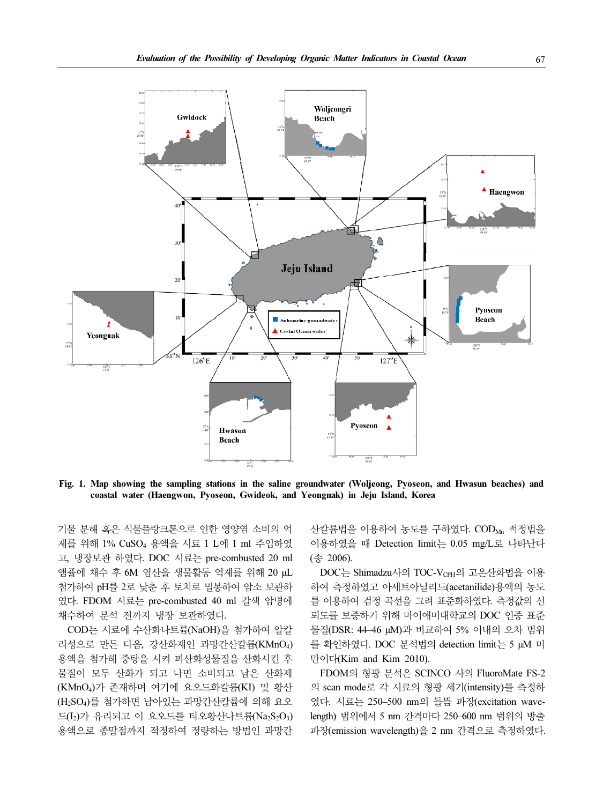

Fig. 1. Map showing the sampling stations in the saline groundwater (Woljeong, Pyoseon, and Hwasun beaches) and coastal water (Haengwon, Pyoseon, Gwideok, and Yeongnak) in Jeju Island, Korea

기물 분해 혹은 식물플랑크톤으로 인한 영양염 소비의 억 제를 위해 1% CuSO<sup>4</sup> 용액을 시료 1 L에 1 ml 주입하였 고, 냉장보관 하였다. DOC 시료는 pre-combusted 20 ml 앰퓰에 채수 후 6M 염산을 생물활동 억제를 위해 20 μL 첨가하여 pH를 2로 낮춘 후 토치로 밀봉하여 암소 보관하 였다. FDOM 시료는 pre-combusted 40 ml 갈색 암병에 채수하여 분석 전까지 냉장 보관하였다.

COD는 시료에 수산화나트륨(NaOH)을 첨가하여 알칼 리성으로 만든 다음, 강산화제인 과망간산칼륨(KMnO4) 용액을 첨가해 중탕을 시켜 피산화성물질을 산화시킨 후 물질이 모두 산화가 되고 나면 소비되고 남은 산화제 (KMnO4)가 존재하며 여기에 요오드화칼륨(KI) 및 황산 (H2SO4)를 첨가하면 남아있는 과망간산칼륨에 의해 요오 드 $(L_2)$ 가 유리되고 이 요오드를 티오황산나트륨(Na<sub>2</sub>S<sub>2</sub>O<sub>3</sub>) 용액으로 종말점까지 적정하여 정량하는 방법인 과망간 산칼륨법을 이용하여 농도를 구하였다. CODMn 적정법을 이용하였을 때 Detection limit는 0.05 mg/L로 나타난다 (송 2006).

DOC는 Shimadzu사의 TOC-V<sub>CPH</sub>의 고온산화법을 이용 하여 측정하였고 아세트아닐리드(acetanilide)용액의 농도 를 이용하여 검정 곡선을 그려 표준화하였다. 측정값의 신 뢰도를 보증하기 위해 마이애미대학교의 DOC 인증 표준 물질(DSR: 44–46 μM)과 비교하여 5% 이내의 오차 범위 를 확인하였다. DOC 분석법의 detection limit는 5 μM 미 만이다(Kim and Kim 2010).

FDOM의 형광 분석은 SCINCO 사의 FluoroMate FS-2 의 scan mode로 각 시료의 형광 세기(intensity)를 측정하 였다. 시료는 250–500 nm의 들뜸 파장(excitation wavelength) 범위에서 5 nm 간격마다 250–600 nm 범위의 방출 파장(emission wavelength)을 2 nm 간격으로 측정하였다.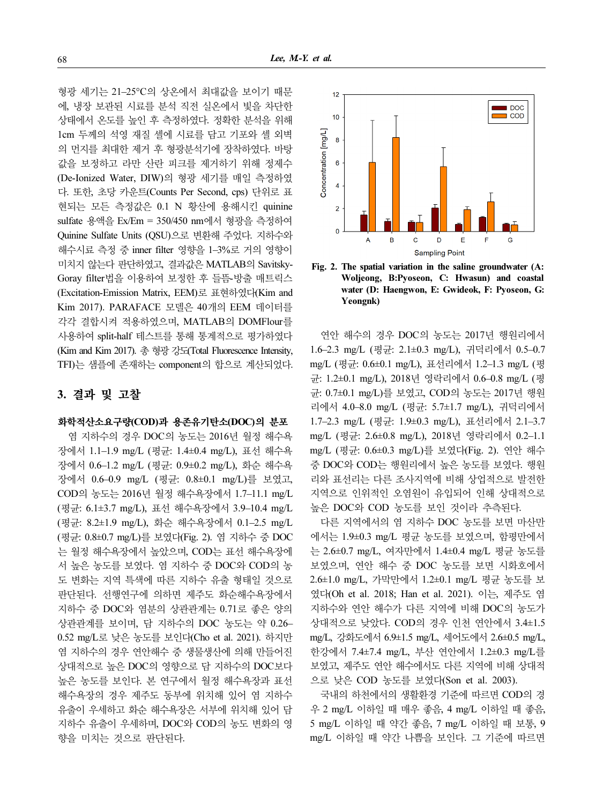형광 세기는 21–25°C의 상온에서 최대값을 보이기 때문 에, 냉장 보관된 시료를 분석 직전 실온에서 빛을 차단한 상태에서 온도를 높인 후 측정하였다. 정확한 분석을 위해 1cm 두께의 석영 재질 셀에 시료를 담고 기포와 셀 외벽 의 먼지를 최대한 제거 후 형광분석기에 장착하였다. 바탕 값을 보정하고 라만 산란 피크를 제거하기 위해 정제수 (De-Ionized Water, DIW)의 형광 세기를 매일 측정하였 다. 또한, 초당 카운트(Counts Per Second, cps) 단위로 표 현되는 모든 측정값은 0.1 N 황산에 용해시킨 quinine sulfate 용액을 Ex/Em = 350/450 nm에서 형광을 측정하여 Quinine Sulfate Units (QSU)으로 변환해 주었다. 지하수와 해수시료 측정 중 inner filter 영향을 1–3%로 거의 영향이 미치지 않는다 판단하였고, 결과값은 MATLAB의 Savitsky-Goray filter법을 이용하여 보정한 후 들뜸-방출 매트릭스 (Excitation-Emission Matrix, EEM)로 표현하였다(Kim and Kim 2017). PARAFACE 모델은 40개의 EEM 데이터를 각각 결합시켜 적용하였으며, MATLAB의 DOMFlour를 사용하여 split-half 테스트를 통해 통계적으로 평가하였다 (Kim and Kim 2017). 총 형광 강도(Total Fluorescence Intensity, TFI)는 샘플에 존재하는 component의 합으로 계산되었다.

## 3. 결과 및 고찰

### 화학적산소요구량(COD)과 용존유기탄소(DOC)의 분포

염 지하수의 경우 DOC의 농도는 2016년 월정 해수욕 장에서 1.1–1.9 mg/L (평균: 1.4±0.4 mg/L), 표선 해수욕 장에서 0.6–1.2 mg/L (평균: 0.9±0.2 mg/L), 화순 해수욕 장에서 0.6–0.9 mg/L (평균: 0.8±0.1 mg/L)를 보였고, COD의 농도는 2016년 월정 해수욕장에서 1.7–11.1 mg/L (평균: 6.1±3.7 mg/L), 표선 해수욕장에서 3.9–10.4 mg/L (평균: 8.2±1.9 mg/L), 화순 해수욕장에서 0.1–2.5 mg/L (평균: 0.8±0.7 mg/L)를 보였다(Fig. 2). 염 지하수 중 DOC 는 월정 해수욕장에서 높았으며, COD는 표선 해수욕장에 서 높은 농도를 보였다. 염 지하수 중 DOC와 COD의 농 도 변화는 지역 특색에 따른 지하수 유출 형태일 것으로 판단된다. 선행연구에 의하면 제주도 화순해수욕장에서 지하수 중 DOC와 염분의 상관관계는 0.71로 좋은 양의 상관관계를 보이며, 담 지하수의 DOC 농도는 약 0.26– 0.52 mg/L로 낮은 농도를 보인다(Cho et al. 2021). 하지만 염 지하수의 경우 연안해수 중 생물생산에 의해 만들어진 상대적으로 높은 DOC의 영향으로 담 지하수의 DOC보다 높은 농도를 보인다. 본 연구에서 월정 해수욕장과 표선 해수욕장의 경우 제주도 동부에 위치해 있어 염 지하수 유출이 우세하고 화순 해수욕장은 서부에 위치해 있어 담 지하수 유출이 우세하며, DOC와 COD의 농도 변화의 영 향을 미치는 것으로 판단된다.



Fig. 2. The spatial variation in the saline groundwater (A: Woljeong, B:Pyoseon, C: Hwasun) and coastal water (D: Haengwon, E: Gwideok, F: Pyoseon, G: Yeongnk)

연안 해수의 경우 DOC의 농도는 2017년 행원리에서 1.6–2.3 mg/L (평균: 2.1±0.3 mg/L), 귀덕리에서 0.5–0.7 mg/L (평균: 0.6±0.1 mg/L), 표선리에서 1.2–1.3 mg/L (평 균: 1.2±0.1 mg/L), 2018년 영락리에서 0.6–0.8 mg/L (평 균: 0.7±0.1 mg/L)를 보였고, COD의 농도는 2017년 행원 리에서 4.0–8.0 mg/L (평균: 5.7±1.7 mg/L), 귀덕리에서 1.7–2.3 mg/L (평균: 1.9±0.3 mg/L), 표선리에서 2.1–3.7 mg/L (평균: 2.6±0.8 mg/L), 2018년 영락리에서 0.2–1.1 mg/L (평균: 0.6±0.3 mg/L)를 보였다(Fig. 2). 연안 해수 중 DOC와 COD는 행원리에서 높은 농도를 보였다. 행원 리와 표선리는 다른 조사지역에 비해 상업적으로 발전한 지역으로 인위적인 오염원이 유입되어 인해 상대적으로 높은 DOC와 COD 농도를 보인 것이라 추측된다.

다른 지역에서의 염 지하수 DOC 농도를 보면 마산만 에서는 1.9±0.3 mg/L 평균 농도를 보였으며, 함평만에서 는 2.6±0.7 mg/L, 여자만에서 1.4±0.4 mg/L 평균 농도를 보였으며, 연안 해수 중 DOC 농도를 보면 시화호에서 2.6±1.0 mg/L, 가막만에서 1.2±0.1 mg/L 평균 농도를 보 였다(Oh et al. 2018; Han et al. 2021). 이는, 제주도 염 지하수와 연안 해수가 다른 지역에 비해 DOC의 농도가 상대적으로 낮았다. COD의 경우 인천 연안에서 3.4±1.5 mg/L, 강화도에서 6.9±1.5 mg/L, 세어도에서 2.6±0.5 mg/L, 한강에서 7.4±7.4 mg/L, 부산 연안에서 1.2±0.3 mg/L를 보였고, 제주도 연안 해수에서도 다른 지역에 비해 상대적 으로 낮은 COD 농도를 보였다(Son et al. 2003).

국내의 하천에서의 생활환경 기준에 따르면 COD의 경 우 2 mg/L 이하일 때 매우 좋음, 4 mg/L 이하일 때 좋음, 5 mg/L 이하일 때 약간 좋음, 7 mg/L 이하일 때 보통, 9 mg/L 이하일 때 약간 나쁨을 보인다. 그 기준에 따르면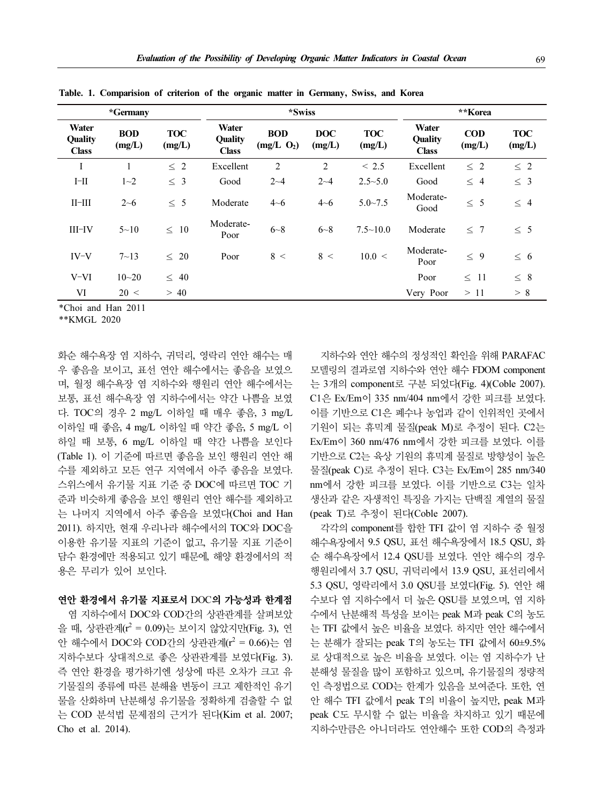|                                  | *Germany             |                      | *Swiss                                  |                             |                      |                      | **Korea                          |                      |                      |
|----------------------------------|----------------------|----------------------|-----------------------------------------|-----------------------------|----------------------|----------------------|----------------------------------|----------------------|----------------------|
| Water<br>Quality<br><b>Class</b> | <b>BOD</b><br>(mg/L) | <b>TOC</b><br>(mg/L) | Water<br><b>Ouality</b><br><b>Class</b> | <b>BOD</b><br>$(mg/L \ O2)$ | <b>DOC</b><br>(mg/L) | <b>TOC</b><br>(mg/L) | Water<br>Quality<br><b>Class</b> | <b>COD</b><br>(mg/L) | <b>TOC</b><br>(mg/L) |
| I                                |                      | $\leq 2$             | Excellent                               | $\overline{2}$              | 2                    | ~< 2.5               | Excellent                        | $\leq 2$             | $\leq 2$             |
| $I-II$                           | $1 - 2$              | $\leq 3$             | Good                                    | $2 - 4$                     | $2 - 4$              | $2.5 - 5.0$          | Good                             | $\leq 4$             | $\leq$ 3             |
| $II$ - $III$                     | $2 - 6$              | 5<br>$\leq$          | Moderate                                | $4 - 6$                     | $4 - 6$              | $5.0 - 7.5$          | Moderate-<br>Good                | $\leq 5$             | $\leq 4$             |
| $III$ -IV                        | $5 - 10$             | $\leq 10$            | Moderate-<br>Poor                       | $6 - 8$                     | $6 - 8$              | $7.5 \sim 10.0$      | Moderate                         | < 7                  | < 5                  |
| $IV-V$                           | $7 - 13$             | $\leq 20$            | Poor                                    | 8 <                         | 8 <                  | 10.0 <               | Moderate-<br>Poor                | $\leq 9$             | $\leq 6$             |
| $V-VI$                           | $10 - 20$            | $\leq 40$            |                                         |                             |                      |                      | Poor                             | $\leq$ 11            | $\leq~8$             |
| VI                               | 20 <                 | >40                  |                                         |                             |                      |                      | Very Poor                        | >11                  | > 8                  |

Table. 1. Comparision of criterion of the organic matter in Germany, Swiss, and Korea

\*Choi and Han 2011

\*\*KMGL 2020

화순 해수욕장 염 지하수, 귀덕리, 영락리 연안 해수는 매 우 좋음을 보이고, 표선 연안 해수에서는 좋음을 보였으 며, 월정 해수욕장 염 지하수와 행원리 연안 해수에서는 보통, 표선 해수욕장 염 지하수에서는 약간 나쁨을 보였 다. TOC의 경우 2 mg/L 이하일 때 매우 좋음, 3 mg/L 이하일 때 좋음, 4 mg/L 이하일 때 약간 좋음, 5 mg/L 이 하일 때 보통, 6 mg/L 이하일 때 약간 나쁨을 보인다 (Table 1). 이 기준에 따르면 좋음을 보인 행원리 연안 해 수를 제외하고 모든 연구 지역에서 아주 좋음을 보였다. 스위스에서 유기물 지표 기준 중 DOC에 따르면 TOC 기 준과 비슷하게 좋음을 보인 행원리 연안 해수를 제외하고 는 나머지 지역에서 아주 좋음을 보였다(Choi and Han 2011). 하지만, 현재 우리나라 해수에서의 TOC와 DOC을 이용한 유기물 지표의 기준이 없고, 유기물 지표 기준이 담수 환경에만 적용되고 있기 때문에, 해양 환경에서의 적 용은 무리가 있어 보인다.

## 연안 환경에서 유기물 지표로서 DOC의 가능성과 한계점

염 지하수에서 DOC와 COD간의 상관관계를 살펴보았 을 때, 상관관계 $(r^2 = 0.09)$ 는 보이지 않았지만(Fig. 3), 연 안 해수에서 DOC와 COD간의 상관관계 $(r^2 = 0.66)$ 는 염 지하수보다 상대적으로 좋은 상관관계를 보였다(Fig. 3). 즉 연안 환경을 평가하기엔 성상에 따른 오차가 크고 유 기물질의 종류에 따른 분해율 변동이 크고 제한적인 유기 물을 산화하며 난분해성 유기물을 정확하게 검출할 수 없 는 COD 분석법 문제점의 근거가 된다(Kim et al. 2007; Cho et al. 2014).

지하수와 연안 해수의 정성적인 확인을 위해 PARAFAC 모델링의 결과로염 지하수와 연안 해수 FDOM component 는 3개의 component로 구분 되었다(Fig. 4)(Coble 2007). C1은 Ex/Em이 335 nm/404 nm에서 강한 피크를 보였다. 이를 기반으로 C1은 폐수나 농업과 같이 인위적인 곳에서 기원이 되는 휴믹계 물질(peak M)로 추정이 된다. C2는 Ex/Em이 360 nm/476 nm에서 강한 피크를 보였다. 이를 기반으로 C2는 육상 기원의 휴믹계 물질로 방향성이 높은 물질(peak C)로 추정이 된다. C3는 Ex/Em이 285 nm/340 nm에서 강한 피크를 보였다. 이를 기반으로 C3는 일차 생산과 같은 자생적인 특징을 가지는 단백질 계열의 물질 (peak T)로 추정이 된다(Coble 2007).

각각의 component를 합한 TFI 값이 염 지하수 중 월정 해수욕장에서 9.5 QSU, 표선 해수욕장에서 18.5 QSU, 화 순 해수욕장에서 12.4 QSU를 보였다. 연안 해수의 경우 행원리에서 3.7 QSU, 귀덕리에서 13.9 QSU, 표선리에서 5.3 QSU, 영락리에서 3.0 QSU를 보였다(Fig. 5). 연안 해 수보다 염 지하수에서 더 높은 QSU를 보였으며, 염 지하 수에서 난분해적 특성을 보이는 peak M과 peak C의 농도 는 TFI 값에서 높은 비율을 보였다. 하지만 연안 해수에서 는 분해가 잘되는 peak T의 농도는 TFI 값에서 60±9.5% 로 상대적으로 높은 비율을 보였다. 이는 염 지하수가 난 분해성 물질을 많이 포함하고 있으며, 유기물질의 정량적 인 측정법으로 COD는 한계가 있음을 보여준다. 또한, 연 안 해수 TFI 값에서 peak T의 비율이 높지만, peak M과 peak C도 무시할 수 없는 비율을 차지하고 있기 때문에 지하수만큼은 아니더라도 연안해수 또한 COD의 측정과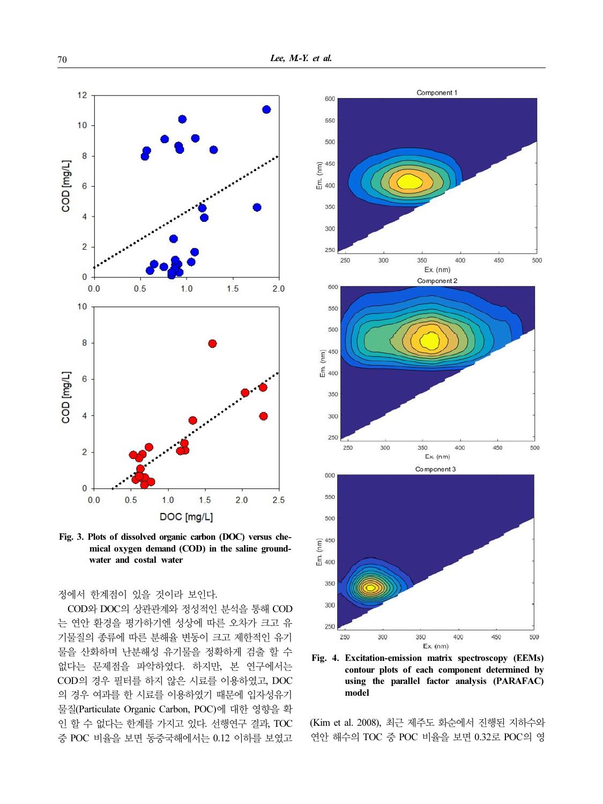

Fig. 3. Plots of dissolved organic carbon (DOC) versus chemical oxygen demand (COD) in the saline groundwater and costal water

정에서 한계점이 있을 것이라 보인다.

COD와 DOC의 상관관계와 정성적인 분석을 통해 COD 는 연안 환경을 평가하기엔 성상에 따른 오차가 크고 유 기물질의 종류에 따른 분해율 변동이 크고 제한적인 유기 물을 산화하며 난분해성 유기물을 정확하게 검출 할 수 없다는 문제점을 파악하였다. 하지만, 본 연구에서는 COD의 경우 필터를 하지 않은 시료를 이용하였고, DOC 의 경우 여과를 한 시료를 이용하였기 때문에 입자성유기 물질(Particulate Organic Carbon, POC)에 대한 영향을 확 인 할 수 없다는 한계를 가지고 있다. 선행연구 결과, TOC 중 POC 비율을 보면 동중국해에서는 0.12 이하를 보였고



Fig. 4. Excitation-emission matrix spectroscopy (EEMs) contour plots of each component determined by using the parallel factor analysis (PARAFAC) model

(Kim et al. 2008), 최근 제주도 화순에서 진행된 지하수와 연안 해수의 TOC 중 POC 비율을 보면 0.32로 POC의 영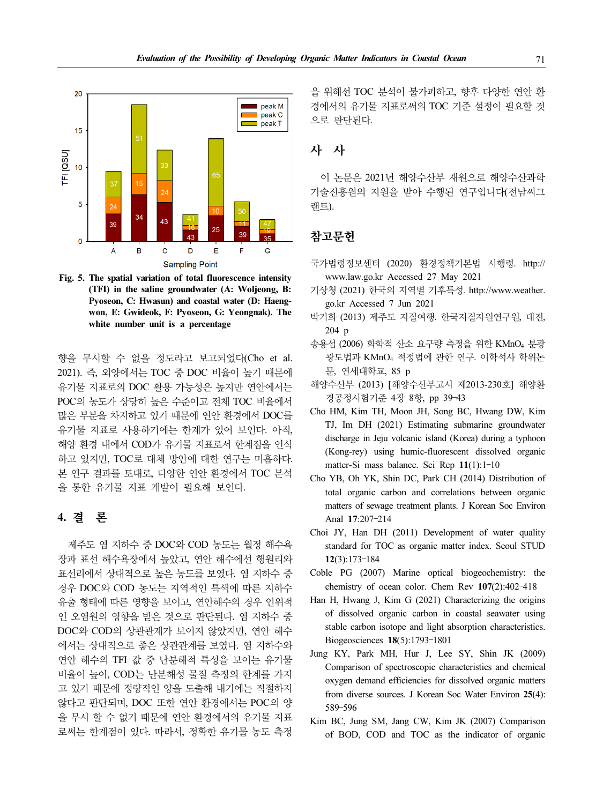

Fig. 5. The spatial variation of total fluorescence intensity (TFI) in the saline groundwater (A: Woljeong, B: Pyoseon, C: Hwasun) and coastal water (D: Haengwon, E: Gwideok, F: Pyoseon, G: Yeongnak). The white number unit is a percentage

향을 무시할 수 없을 정도라고 보고되었다(Cho et al. 2021). 즉, 외양에서는 TOC 중 DOC 비율이 높기 때문에 유기물 지표로의 DOC 활용 가능성은 높지만 연안에서는 POC의 농도가 상당히 높은 수준이고 전체 TOC 비율에서 많은 부분을 차지하고 있기 때문에 연안 환경에서 DOC를 유기물 지표로 사용하기에는 한계가 있어 보인다. 아직, 해양 환경 내에서 COD가 유기물 지표로서 한계점을 인식 하고 있지만, TOC로 대체 방안에 대한 연구는 미흡하다. 본 연구 결과를 토대로, 다양한 연안 환경에서 TOC 분석 을 통한 유기물 지표 개발이 필요해 보인다.

## 4. 결 론

제주도 염 지하수 중 DOC와 COD 농도는 월정 해수욕 장과 표선 해수욕장에서 높았고, 연안 해수에선 행원리와 표선리에서 상대적으로 높은 농도를 보였다. 염 지하수 중 경우 DOC와 COD 농도는 지역적인 특색에 따른 지하수 유출 형태에 따른 영향을 보이고, 연안해수의 경우 인위적 인 오염원의 영향을 받은 것으로 판단된다. 염 지하수 중 DOC와 COD의 상관관계가 보이지 않았지만, 연안 해수 에서는 상대적으로 좋은 상관관계를 보였다. 염 지하수와 연안 해수의 TFI 값 중 난분해적 특성을 보이는 유기물 비율이 높아, COD는 난분해성 물질 측정의 한계를 가지 고 있기 때문에 정량적인 양을 도출해 내기에는 적절하지 않다고 판단되며, DOC 또한 연안 환경에서는 POC의 양 을 무시 할 수 없기 때문에 연안 환경에서의 유기물 지표 로써는 한계점이 있다. 따라서, 정확한 유기물 농도 측정

을 위해선 TOC 분석이 불가피하고, 향후 다양한 연안 환 경에서의 유기물 지표로써의 TOC 기준 설정이 필요할 것 으로 판단된다.

## 사 사

이 논문은 2021년 해양수산부 재원으로 해양수산과학 기술진흥원의 지원을 받아 수행된 연구입니다(전남씨그 랜트).

## 참고문헌

- 국가법령정보센터 (2020) 환경정책기본법 시행령. http:// www.law.go.kr Accessed 27 May 2021
- 기상청 (2021) 한국의 지역별 기후특성. http://www.weather. go.kr Accessed 7 Jun 2021
- 박기화 (2013) 제주도 지질여행. 한국지질자원연구원, 대전, 204 p
- 송용섭 (2006) 화학적 산소 요구량 측정을 위한 KMnO<sup>4</sup> 분광 광도법과 KMnO<sup>4</sup> 적정법에 관한 연구. 이학석사 학위논 문, 연세대학교, 85 p 14 (2015) 세 1 소 시 클라옹, 단국시<br>204 p<br>-섭 (2006) 화학적 산소 요구량 측정:<br>광도법과 KMnO<sub>4</sub> 적정법에 관한 연<br>문, 연세대학교, 85 p<br>추산부 (2013) [해양수산부고시 제<br>경공정시험기준 4장 8항, pp 39-43
- 해양수산부 (2013) [해양수산부고시 제2013-230호] 해양환
- Cho HM, Kim TH, Moon JH, Song BC, Hwang DW, Kim TJ, Im DH (2021) Estimating submarine groundwater discharge in Jeju volcanic island (Korea) during a typhoon (Kong-rey) using humic-fluorescent dissolved organic  $\frac{1}{3}$   $\frac{1}{3}$   $\frac{1}{3}$   $\frac{1}{3}$   $\frac{1}{1}$   $\frac{1}{3}$   $\frac{1}{1}$   $\frac{1}{2}$   $\frac{1}{4}$   $\frac{1}{3}$   $\frac{1}{2}$   $\frac{1}{3}$   $\frac{1}{2}$   $\frac{1}{3}$   $\frac{1}{3}$   $\frac{1}{3}$   $\frac{1}{3}$   $\frac{1}{3}$   $\frac{1}{3}$   $\frac{1}{3}$   $\frac{1}{3}$   $\frac{1}{3}$
- Cho YB, Oh YK, Shin DC, Park CH (2014) Distribution of total organic carbon and correlations between organic matters of sewage treatment plants. J Korean Soc Environ (Kong-rey) using<br>
matter-Si mass b<br>
YB, Oh YK, Sh<br>
total organic car<br>
matters of sewage<br>
Anal 17:207-214 total organic<br>matters of sew<br>Anal  $17:207-z$ <br>i JY, Han D<br>standard for T<br> $12(3):173-184$
- Choi JY, Han DH (2011) Development of water quality standard for TOC as organic matter index. Seoul STUD Frances of semage dealined plants. 3 Refear foce ERVE<br>Anal 17:207-214<br>i JY, Han DH (2011) Development of water qualistandard for TOC as organic matter index. Seoul STU<br>12(3):173-184<br>le PG (2007) Marine optical biogeochemis
- Coble PG (2007) Marine optical biogeochemistry: the
- Han H, Hwang J, Kim G (2021) Characterizing the origins of dissolved organic carbon in coastal seawater using stable carbon isotope and light absorption characteristics. Le PG  $(2007)$  Marine optical<br>chemistry of ocean color. Chem<br>H, Hwang J, Kim G  $(2021)$  C<br>of dissolved organic carbon in<br>stable carbon isotope and light a<br>Biogeosciences 18(5):1793-1801
- Jung KY, Park MH, Hur J, Lee SY, Shin JK (2009) Comparison of spectroscopic characteristics and chemical oxygen demand efficiencies for dissolved organic matters from diverse sources. J Korean Soc Water Environ 25(4): Stable<br>Biogeoss<br>3 KY,<br>Compari<br>oxygen (from div<br>589–596
- Kim BC, Jung SM, Jang CW, Kim JK (2007) Comparison of BOD, COD and TOC as the indicator of organic